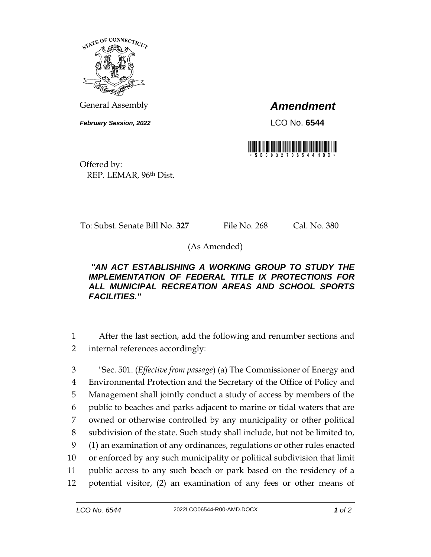

General Assembly *Amendment*

*February Session, 2022* LCO No. 6544



Offered by: REP. LEMAR, 96th Dist.

To: Subst. Senate Bill No. **327** File No. 268 Cal. No. 380

(As Amended)

## *"AN ACT ESTABLISHING A WORKING GROUP TO STUDY THE IMPLEMENTATION OF FEDERAL TITLE IX PROTECTIONS FOR ALL MUNICIPAL RECREATION AREAS AND SCHOOL SPORTS FACILITIES."*

1 After the last section, add the following and renumber sections and 2 internal references accordingly:

 "Sec. 501. (*Effective from passage*) (a) The Commissioner of Energy and Environmental Protection and the Secretary of the Office of Policy and Management shall jointly conduct a study of access by members of the public to beaches and parks adjacent to marine or tidal waters that are owned or otherwise controlled by any municipality or other political subdivision of the state. Such study shall include, but not be limited to, (1) an examination of any ordinances, regulations or other rules enacted or enforced by any such municipality or political subdivision that limit public access to any such beach or park based on the residency of a potential visitor, (2) an examination of any fees or other means of